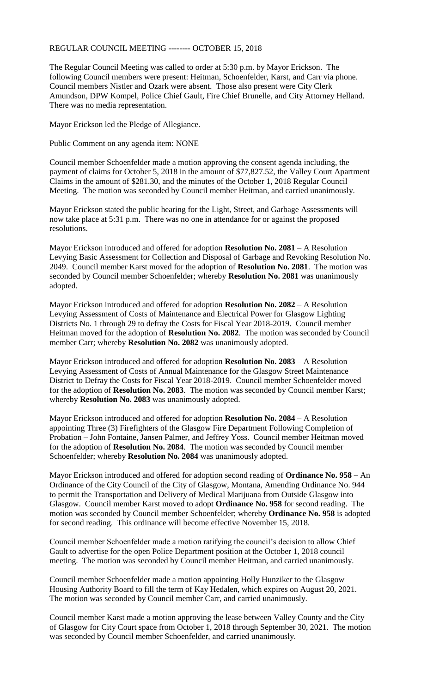# REGULAR COUNCIL MEETING -------- OCTOBER 15, 2018

The Regular Council Meeting was called to order at 5:30 p.m. by Mayor Erickson. The following Council members were present: Heitman, Schoenfelder, Karst, and Carr via phone. Council members Nistler and Ozark were absent. Those also present were City Clerk Amundson, DPW Kompel, Police Chief Gault, Fire Chief Brunelle, and City Attorney Helland. There was no media representation.

Mayor Erickson led the Pledge of Allegiance.

Public Comment on any agenda item: NONE

Council member Schoenfelder made a motion approving the consent agenda including, the payment of claims for October 5, 2018 in the amount of \$77,827.52, the Valley Court Apartment Claims in the amount of \$281.30, and the minutes of the October 1, 2018 Regular Council Meeting. The motion was seconded by Council member Heitman, and carried unanimously.

Mayor Erickson stated the public hearing for the Light, Street, and Garbage Assessments will now take place at 5:31 p.m. There was no one in attendance for or against the proposed resolutions.

Mayor Erickson introduced and offered for adoption **Resolution No. 2081** – A Resolution Levying Basic Assessment for Collection and Disposal of Garbage and Revoking Resolution No. 2049. Council member Karst moved for the adoption of **Resolution No. 2081**. The motion was seconded by Council member Schoenfelder; whereby **Resolution No. 2081** was unanimously adopted.

Mayor Erickson introduced and offered for adoption **Resolution No. 2082** – A Resolution Levying Assessment of Costs of Maintenance and Electrical Power for Glasgow Lighting Districts No. 1 through 29 to defray the Costs for Fiscal Year 2018-2019. Council member Heitman moved for the adoption of **Resolution No. 2082**. The motion was seconded by Council member Carr; whereby **Resolution No. 2082** was unanimously adopted.

Mayor Erickson introduced and offered for adoption **Resolution No. 2083** – A Resolution Levying Assessment of Costs of Annual Maintenance for the Glasgow Street Maintenance District to Defray the Costs for Fiscal Year 2018-2019. Council member Schoenfelder moved for the adoption of **Resolution No. 2083**. The motion was seconded by Council member Karst; whereby **Resolution No. 2083** was unanimously adopted.

Mayor Erickson introduced and offered for adoption **Resolution No. 2084** – A Resolution appointing Three (3) Firefighters of the Glasgow Fire Department Following Completion of Probation – John Fontaine, Jansen Palmer, and Jeffrey Yoss. Council member Heitman moved for the adoption of **Resolution No. 2084**. The motion was seconded by Council member Schoenfelder; whereby **Resolution No. 2084** was unanimously adopted.

Mayor Erickson introduced and offered for adoption second reading of **Ordinance No. 958** – An Ordinance of the City Council of the City of Glasgow, Montana, Amending Ordinance No. 944 to permit the Transportation and Delivery of Medical Marijuana from Outside Glasgow into Glasgow. Council member Karst moved to adopt **Ordinance No. 958** for second reading. The motion was seconded by Council member Schoenfelder; whereby **Ordinance No. 958** is adopted for second reading. This ordinance will become effective November 15, 2018.

Council member Schoenfelder made a motion ratifying the council's decision to allow Chief Gault to advertise for the open Police Department position at the October 1, 2018 council meeting. The motion was seconded by Council member Heitman, and carried unanimously.

Council member Schoenfelder made a motion appointing Holly Hunziker to the Glasgow Housing Authority Board to fill the term of Kay Hedalen, which expires on August 20, 2021. The motion was seconded by Council member Carr, and carried unanimously.

Council member Karst made a motion approving the lease between Valley County and the City of Glasgow for City Court space from October 1, 2018 through September 30, 2021. The motion was seconded by Council member Schoenfelder, and carried unanimously.